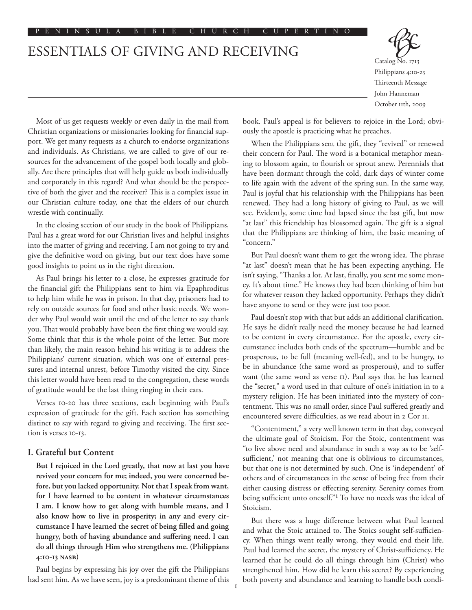# ESSENTIALS OF GIVING AND RECEIVING



Catalog No. 1713 Philippians 4:10-23 Thirteenth Message John Hanneman October 11th, 2009

Most of us get requests weekly or even daily in the mail from Christian organizations or missionaries looking for financial support. We get many requests as a church to endorse organizations and individuals. As Christians, we are called to give of our resources for the advancement of the gospel both locally and globally. Are there principles that will help guide us both individually and corporately in this regard? And what should be the perspective of both the giver and the receiver? This is a complex issue in our Christian culture today, one that the elders of our church wrestle with continually.

In the closing section of our study in the book of Philippians, Paul has a great word for our Christian lives and helpful insights into the matter of giving and receiving. I am not going to try and give the definitive word on giving, but our text does have some good insights to point us in the right direction.

As Paul brings his letter to a close, he expresses gratitude for the financial gift the Philippians sent to him via Epaphroditus to help him while he was in prison. In that day, prisoners had to rely on outside sources for food and other basic needs. We wonder why Paul would wait until the end of the letter to say thank you. That would probably have been the first thing we would say. Some think that this is the whole point of the letter. But more than likely, the main reason behind his writing is to address the Philippians' current situation, which was one of external pressures and internal unrest, before Timothy visited the city. Since this letter would have been read to the congregation, these words of gratitude would be the last thing ringing in their ears.

Verses 10-20 has three sections, each beginning with Paul's expression of gratitude for the gift. Each section has something distinct to say with regard to giving and receiving. The first section is verses 10-13.

### **I. Grateful but Content**

**But I rejoiced in the Lord greatly, that now at last you have revived your concern for me; indeed, you were concerned before, but you lacked opportunity. Not that I speak from want, for I have learned to be content in whatever circumstances I am. I know how to get along with humble means, and I also know how to live in prosperity; in any and every circumstance I have learned the secret of being filled and going hungry, both of having abundance and suffering need. I can do all things through Him who strengthens me. (Philippians 4:10-13 NASB)**

Paul begins by expressing his joy over the gift the Philippians had sent him. As we have seen, joy is a predominant theme of this book. Paul's appeal is for believers to rejoice in the Lord; obviously the apostle is practicing what he preaches.

When the Philippians sent the gift, they "revived" or renewed their concern for Paul. The word is a botanical metaphor meaning to blossom again, to flourish or sprout anew. Perennials that have been dormant through the cold, dark days of winter come to life again with the advent of the spring sun. In the same way, Paul is joyful that his relationship with the Philippians has been renewed. They had a long history of giving to Paul, as we will see. Evidently, some time had lapsed since the last gift, but now "at last" this friendship has blossomed again. The gift is a signal that the Philippians are thinking of him, the basic meaning of "concern."

But Paul doesn't want them to get the wrong idea. The phrase "at last" doesn't mean that he has been expecting anything. He isn't saying, "Thanks a lot. At last, finally, you sent me some money. It's about time." He knows they had been thinking of him but for whatever reason they lacked opportunity. Perhaps they didn't have anyone to send or they were just too poor.

Paul doesn't stop with that but adds an additional clarification. He says he didn't really need the money because he had learned to be content in every circumstance. For the apostle, every circumstance includes both ends of the spectrum––humble and be prosperous, to be full (meaning well-fed), and to be hungry, to be in abundance (the same word as prosperous), and to suffer want (the same word as verse 11). Paul says that he has learned the "secret," a word used in that culture of one's initiation in to a mystery religion. He has been initiated into the mystery of contentment. This was no small order, since Paul suffered greatly and encountered severe difficulties, as we read about in 2 Cor 11.

"Contentment," a very well known term in that day, conveyed the ultimate goal of Stoicism. For the Stoic, contentment was "to live above need and abundance in such a way as to be 'selfsufficient,' not meaning that one is oblivious to circumstances, but that one is not determined by such. One is 'independent' of others and of circumstances in the sense of being free from their either causing distress or effecting serenity. Serenity comes from being sufficient unto oneself."1 To have no needs was the ideal of Stoicism.

But there was a huge difference between what Paul learned and what the Stoic attained to. The Stoics sought self-sufficiency. When things went really wrong, they would end their life. Paul had learned the secret, the mystery of Christ-sufficiency. He learned that he could do all things through him (Christ) who strengthened him. How did he learn this secret? By experiencing both poverty and abundance and learning to handle both condi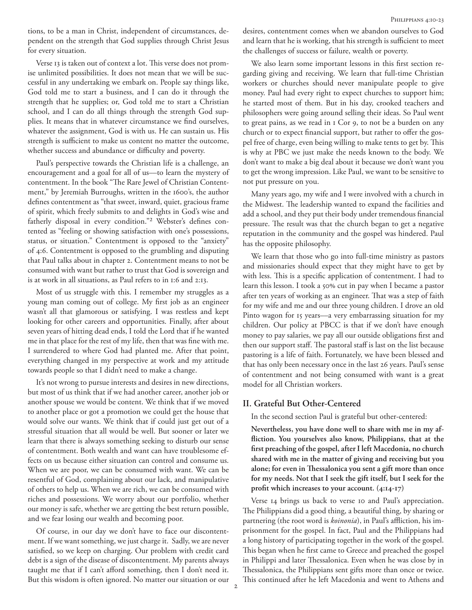tions, to be a man in Christ, independent of circumstances, dependent on the strength that God supplies through Christ Jesus for every situation.

Verse 13 is taken out of context a lot. This verse does not promise unlimited possibilities. It does not mean that we will be successful in any undertaking we embark on. People say things like, God told me to start a business, and I can do it through the strength that he supplies; or, God told me to start a Christian school, and I can do all things through the strength God supplies. It means that in whatever circumstance we find ourselves, whatever the assignment, God is with us. He can sustain us. His strength is sufficient to make us content no matter the outcome, whether success and abundance or difficulty and poverty.

Paul's perspective towards the Christian life is a challenge, an encouragement and a goal for all of us—to learn the mystery of contentment. In the book "The Rare Jewel of Christian Contentment," by Jeremiah Burroughs, written in the 1600's, the author defines contentment as "that sweet, inward, quiet, gracious frame of spirit, which freely submits to and delights in God's wise and fatherly disposal in every condition."<sup>2</sup> Webster's defines contented as "feeling or showing satisfaction with one's possessions, status, or situation." Contentment is opposed to the "anxiety" of 4:6. Contentment is opposed to the grumbling and disputing that Paul talks about in chapter 2. Contentment means to not be consumed with want but rather to trust that God is sovereign and is at work in all situations, as Paul refers to in 1:6 and 2:13.

Most of us struggle with this. I remember my struggles as a young man coming out of college. My first job as an engineer wasn't all that glamorous or satisfying. I was restless and kept looking for other careers and opportunities. Finally, after about seven years of hitting dead ends, I told the Lord that if he wanted me in that place for the rest of my life, then that was fine with me. I surrendered to where God had planted me. After that point, everything changed in my perspective at work and my attitude towards people so that I didn't need to make a change.

It's not wrong to pursue interests and desires in new directions, but most of us think that if we had another career, another job or another spouse we would be content. We think that if we moved to another place or got a promotion we could get the house that would solve our wants. We think that if could just get out of a stressful situation that all would be well. But sooner or later we learn that there is always something seeking to disturb our sense of contentment. Both wealth and want can have troublesome effects on us because either situation can control and consume us. When we are poor, we can be consumed with want. We can be resentful of God, complaining about our lack, and manipulative of others to help us. When we are rich, we can be consumed with riches and possessions. We worry about our portfolio, whether our money is safe, whether we are getting the best return possible, and we fear losing our wealth and becoming poor.

Of course, in our day we don't have to face our discontentment. If we want something, we just charge it. Sadly, we are never satisfied, so we keep on charging. Our problem with credit card debt is a sign of the disease of discontentment. My parents always taught me that if I can't afford something, then I don't need it. But this wisdom is often ignored. No matter our situation or our desires, contentment comes when we abandon ourselves to God and learn that he is working, that his strength is sufficient to meet the challenges of success or failure, wealth or poverty.

We also learn some important lessons in this first section regarding giving and receiving. We learn that full-time Christian workers or churches should never manipulate people to give money. Paul had every right to expect churches to support him; he started most of them. But in his day, crooked teachers and philosophers were going around selling their ideas. So Paul went to great pains, as we read in 1 Cor 9, to not be a burden on any church or to expect financial support, but rather to offer the gospel free of charge, even being willing to make tents to get by. This is why at PBC we just make the needs known to the body. We don't want to make a big deal about it because we don't want you to get the wrong impression. Like Paul, we want to be sensitive to not put pressure on you.

Many years ago, my wife and I were involved with a church in the Midwest. The leadership wanted to expand the facilities and add a school, and they put their body under tremendous financial pressure. The result was that the church began to get a negative reputation in the community and the gospel was hindered. Paul has the opposite philosophy.

We learn that those who go into full-time ministry as pastors and missionaries should expect that they might have to get by with less. This is a specific application of contentment. I had to learn this lesson. I took a 50% cut in pay when I became a pastor after ten years of working as an engineer. That was a step of faith for my wife and me and our three young children. I drove an old Pinto wagon for 15 years-a very embarrassing situation for my children. Our policy at PBCC is that if we don't have enough money to pay salaries, we pay all our outside obligations first and then our support staff. The pastoral staff is last on the list because pastoring is a life of faith. Fortunately, we have been blessed and that has only been necessary once in the last 26 years. Paul's sense of contentment and not being consumed with want is a great model for all Christian workers.

## **II. Grateful But Other-Centered**

In the second section Paul is grateful but other-centered:

**Nevertheless, you have done well to share with me in my affliction. You yourselves also know, Philippians, that at the first preaching of the gospel, after I left Macedonia, no church shared with me in the matter of giving and receiving but you alone; for even in Thessalonica you sent a gift more than once for my needs. Not that I seek the gift itself, but I seek for the profit which increases to your account. (4:14-17)**

Verse 14 brings us back to verse 10 and Paul's appreciation. The Philippians did a good thing, a beautiful thing, by sharing or partnering (the root word is *koinonia*), in Paul's affliction, his imprisonment for the gospel. In fact, Paul and the Philippians had a long history of participating together in the work of the gospel. This began when he first came to Greece and preached the gospel in Philippi and later Thessalonica. Even when he was close by in Thessalonica, the Philippians sent gifts more than once or twice. This continued after he left Macedonia and went to Athens and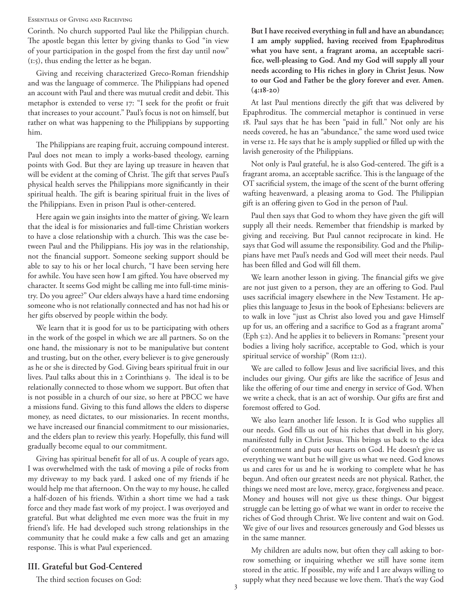#### Essentials of Giving and Receiving

Corinth. No church supported Paul like the Philippian church. The apostle began this letter by giving thanks to God "in view of your participation in the gospel from the first day until now" (1:5), thus ending the letter as he began.

Giving and receiving characterized Greco-Roman friendship and was the language of commerce. The Philippians had opened an account with Paul and there was mutual credit and debit. This metaphor is extended to verse 17: "I seek for the profit or fruit that increases to your account." Paul's focus is not on himself, but rather on what was happening to the Philippians by supporting him.

The Philippians are reaping fruit, accruing compound interest. Paul does not mean to imply a works-based theology, earning points with God. But they are laying up treasure in heaven that will be evident at the coming of Christ. The gift that serves Paul's physical health serves the Philippians more significantly in their spiritual health. The gift is bearing spiritual fruit in the lives of the Philippians. Even in prison Paul is other-centered.

Here again we gain insights into the matter of giving. We learn that the ideal is for missionaries and full-time Christian workers to have a close relationship with a church. This was the case between Paul and the Philippians. His joy was in the relationship, not the financial support. Someone seeking support should be able to say to his or her local church, "I have been serving here for awhile. You have seen how I am gifted. You have observed my character. It seems God might be calling me into full-time ministry. Do you agree?" Our elders always have a hard time endorsing someone who is not relationally connected and has not had his or her gifts observed by people within the body.

We learn that it is good for us to be participating with others in the work of the gospel in which we are all partners. So on the one hand, the missionary is not to be manipulative but content and trusting, but on the other, every believer is to give generously as he or she is directed by God. Giving bears spiritual fruit in our lives. Paul talks about this in 2 Corinthians 9. The ideal is to be relationally connected to those whom we support. But often that is not possible in a church of our size, so here at PBCC we have a missions fund. Giving to this fund allows the elders to disperse money, as need dictates, to our missionaries. In recent months, we have increased our financial commitment to our missionaries, and the elders plan to review this yearly. Hopefully, this fund will gradually become equal to our commitment.

Giving has spiritual benefit for all of us. A couple of years ago, I was overwhelmed with the task of moving a pile of rocks from my driveway to my back yard. I asked one of my friends if he would help me that afternoon. On the way to my house, he called a half-dozen of his friends. Within a short time we had a task force and they made fast work of my project. I was overjoyed and grateful. But what delighted me even more was the fruit in my friend's life. He had developed such strong relationships in the community that he could make a few calls and get an amazing response. This is what Paul experienced.

## **III. Grateful but God-Centered**

The third section focuses on God:

**But I have received everything in full and have an abundance; I am amply supplied, having received from Epaphroditus what you have sent, a fragrant aroma, an acceptable sacrifice, well-pleasing to God. And my God will supply all your needs according to His riches in glory in Christ Jesus. Now to our God and Father be the glory forever and ever. Amen. (4:18-20)**

At last Paul mentions directly the gift that was delivered by Epaphroditus. The commercial metaphor is continued in verse 18. Paul says that he has been "paid in full." Not only are his needs covered, he has an "abundance," the same word used twice in verse 12. He says that he is amply supplied or filled up with the lavish generosity of the Philippians.

Not only is Paul grateful, he is also God-centered. The gift is a fragrant aroma, an acceptable sacrifice. This is the language of the OT sacrificial system, the image of the scent of the burnt offering wafting heavenward, a pleasing aroma to God. The Philippian gift is an offering given to God in the person of Paul.

Paul then says that God to whom they have given the gift will supply all their needs. Remember that friendship is marked by giving and receiving. But Paul cannot reciprocate in kind. He says that God will assume the responsibility. God and the Philippians have met Paul's needs and God will meet their needs. Paul has been filled and God will fill them.

We learn another lesson in giving. The financial gifts we give are not just given to a person, they are an offering to God. Paul uses sacrificial imagery elsewhere in the New Testament. He applies this language to Jesus in the book of Ephesians: believers are to walk in love "just as Christ also loved you and gave Himself up for us, an offering and a sacrifice to God as a fragrant aroma" (Eph 5:2). And he applies it to believers in Romans: "present your bodies a living holy sacrifice, acceptable to God, which is your spiritual service of worship" (Rom 12:1).

We are called to follow Jesus and live sacrificial lives, and this includes our giving. Our gifts are like the sacrifice of Jesus and like the offering of our time and energy in service of God. When we write a check, that is an act of worship. Our gifts are first and foremost offered to God.

We also learn another life lesson. It is God who supplies all our needs. God fills us out of his riches that dwell in his glory, manifested fully in Christ Jesus. This brings us back to the idea of contentment and puts our hearts on God. He doesn't give us everything we want but he will give us what we need. God knows us and cares for us and he is working to complete what he has begun. And often our greatest needs are not physical. Rather, the things we need most are love, mercy, grace, forgiveness and peace. Money and houses will not give us these things. Our biggest struggle can be letting go of what we want in order to receive the riches of God through Christ. We live content and wait on God. We give of our lives and resources generously and God blesses us in the same manner.

My children are adults now, but often they call asking to borrow something or inquiring whether we still have some item stored in the attic. If possible, my wife and I are always willing to supply what they need because we love them. That's the way God